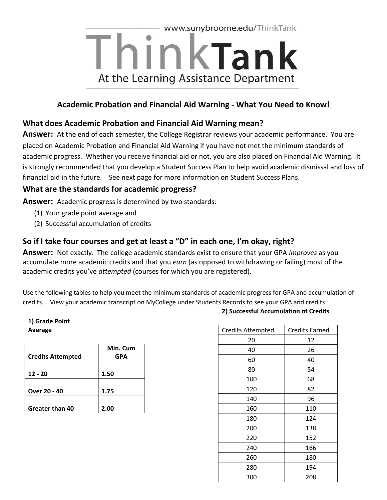

### **Academic Probation and Financial Aid Warning - What You Need to Know!**

#### **What does Academic Probation and Financial Aid Warning mean?**

**Answer:** At the end of each semester, the College Registrar reviews your academic performance. You are placed on Academic Probation and Financial Aid Warning if you have not met the minimum standards of academic progress. Whether you receive financial aid or not, you are also placed on Financial Aid Warning. It is strongly recommended that you develop a Student Success Plan to help avoid academic dismissal and loss of financial aid in the future. See next page for more information on Student Success Plans.

#### **What are the standards for academic progress?**

**Answer:** Academic progress is determined by two standards:

- (1) Your grade point average and
- (2) Successful accumulation of credits

### **So if I take four courses and get at least a "D" in each one, I'm okay, right?**

**Answer:** Not exactly. The college academic standards exist to ensure that your GPA *improves* as you accumulate more academic credits and that you *earn* (as opposed to withdrawing or failing) most of the academic credits you've *attempted* (courses for which you are registered).

Use the following tables to help you meet the minimum standards of academic progress for GPA and accumulation of credits. View your academic transcript on MyCollege under Students Records to see your GPA and credits.

#### **1) Grade Point Average**

| <b>Credits Attempted</b> | Min. Cum<br>GPA |
|--------------------------|-----------------|
| $12 - 20$                | 1.50            |
| Over 20 - 40             | 1.75            |
| Greater than 40          | 2.00            |

| <b>Credits Attempted</b> | <b>Credits Earned</b> |
|--------------------------|-----------------------|
| 20                       | 12                    |
| 40                       | 26                    |
| 60                       | 40                    |
| 80                       | 54                    |
| 100                      | 68                    |
| 120                      | 82                    |
| 140                      | 96                    |
| 160                      | 110                   |
| 180                      | 124                   |
| 200                      | 138                   |
| 220                      | 152                   |
| 240                      | 166                   |
| 260                      | 180                   |
| 280                      | 194                   |
| 300                      | 208                   |

#### **2) Successful Accumulation of Credits**